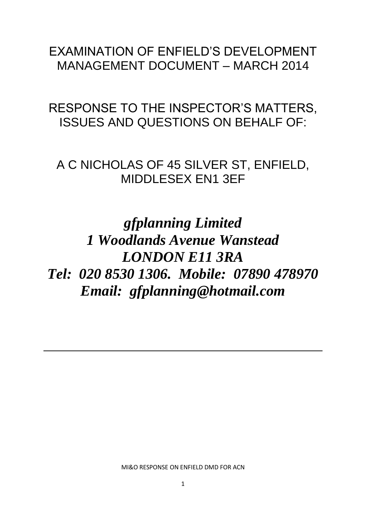# EXAMINATION OF ENFIELD'S DEVELOPMENT MANAGEMENT DOCUMENT – MARCH 2014

RESPONSE TO THE INSPECTOR'S MATTERS, ISSUES AND QUESTIONS ON BEHALF OF:

A C NICHOLAS OF 45 SILVER ST, ENFIELD, MIDDLESEX EN1 3EF

*gfplanning Limited 1 Woodlands Avenue Wanstead LONDON E11 3RA Tel: 020 8530 1306. Mobile: 07890 478970 Email: gfplanning@hotmail.com*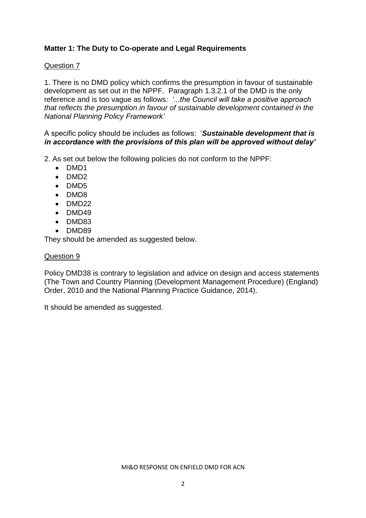# **Matter 1: The Duty to Co-operate and Legal Requirements**

# Question 7

1. There is no DMD policy which confirms the presumption in favour of sustainable development as set out in the NPPF. Paragraph 1.3.2.1 of the DMD is the only reference and is too vague as follows*: '...the Council will take a positive approach that reflects the presumption in favour of sustainable development contained in the National Planning Policy Framework'*

A specific policy should be includes as follows: '*Sustainable development that is in accordance with the provisions of this plan will be approved without delay'*

2. As set out below the following policies do not conform to the NPPF:

- DMD1
- $\bullet$  DMD2
- DMD5
- DMD8
- $\bullet$  DMD22
- $\bullet$  DMD49
- DMD83
- DMD89

They should be amended as suggested below.

# Question 9

Policy DMD38 is contrary to legislation and advice on design and access statements (The Town and Country Planning (Development Management Procedure) (England) Order, 2010 and the National Planning Practice Guidance, 2014).

It should be amended as suggested.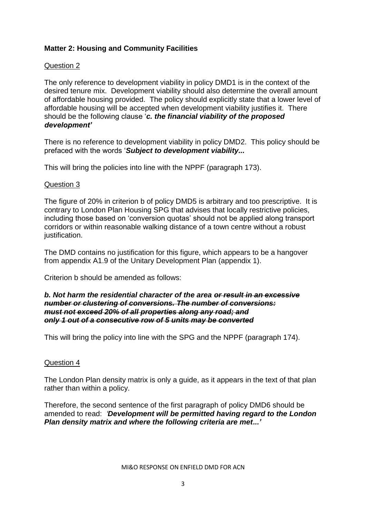# **Matter 2: Housing and Community Facilities**

# Question 2

The only reference to development viability in policy DMD1 is in the context of the desired tenure mix. Development viability should also determine the overall amount of affordable housing provided. The policy should explicitly state that a lower level of affordable housing will be accepted when development viability justifies it. There should be the following clause '*c. the financial viability of the proposed development'*

There is no reference to development viability in policy DMD2. This policy should be prefaced with the words '*Subject to development viability...*

This will bring the policies into line with the NPPF (paragraph 173).

## Question 3

The figure of 20% in criterion b of policy DMD5 is arbitrary and too prescriptive. It is contrary to London Plan Housing SPG that advises that locally restrictive policies, including those based on 'conversion quotas' should not be applied along transport corridors or within reasonable walking distance of a town centre without a robust justification.

The DMD contains no justification for this figure, which appears to be a hangover from appendix A1.9 of the Unitary Development Plan (appendix 1).

Criterion b should be amended as follows:

#### *b. Not harm the residential character of the area or result in an excessive number or clustering of conversions. The number of conversions: must not exceed 20% of all properties along any road; and only 1 out of a consecutive row of 5 units may be converted*

This will bring the policy into line with the SPG and the NPPF (paragraph 174).

## Question 4

The London Plan density matrix is only a guide, as it appears in the text of that plan rather than within a policy.

Therefore, the second sentence of the first paragraph of policy DMD6 should be amended to read: *'Development will be permitted having regard to the London Plan density matrix and where the following criteria are met...'*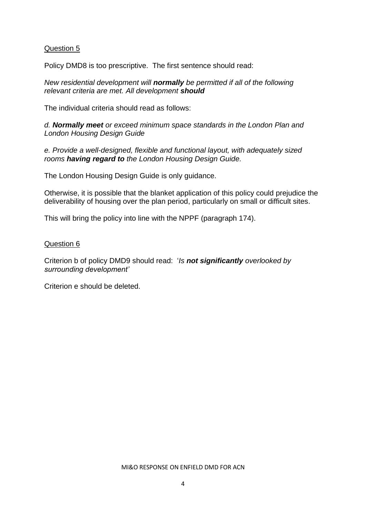# Question 5

Policy DMD8 is too prescriptive. The first sentence should read:

*New residential development will normally be permitted if all of the following relevant criteria are met. All development should*

The individual criteria should read as follows:

*d. Normally meet or exceed minimum space standards in the London Plan and London Housing Design Guide*

*e. Provide a well-designed, flexible and functional layout, with adequately sized rooms having regard to the London Housing Design Guide.*

The London Housing Design Guide is only guidance.

Otherwise, it is possible that the blanket application of this policy could prejudice the deliverability of housing over the plan period, particularly on small or difficult sites.

This will bring the policy into line with the NPPF (paragraph 174).

#### Question 6

Criterion b of policy DMD9 should read: '*Is not significantly overlooked by surrounding development'*

Criterion e should be deleted.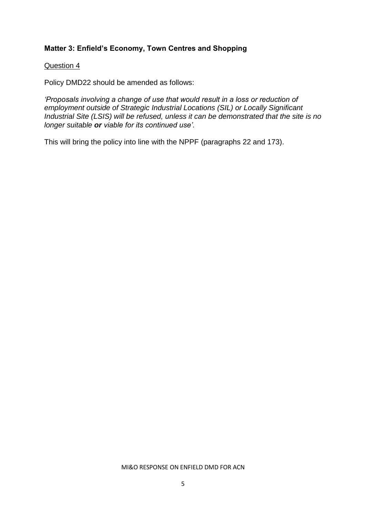# **Matter 3: Enfield's Economy, Town Centres and Shopping**

#### Question 4

Policy DMD22 should be amended as follows:

*'Proposals involving a change of use that would result in a loss or reduction of employment outside of Strategic Industrial Locations (SIL) or Locally Significant Industrial Site (LSIS) will be refused, unless it can be demonstrated that the site is no longer suitable or viable for its continued use'.*

This will bring the policy into line with the NPPF (paragraphs 22 and 173).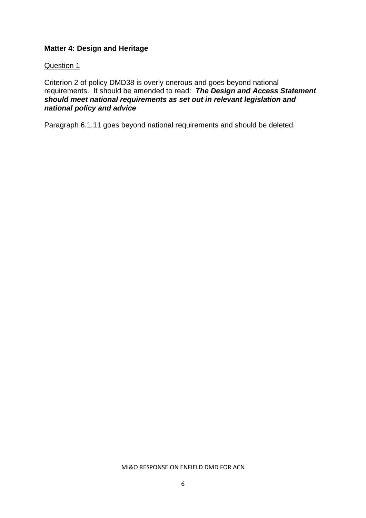# **Matter 4: Design and Heritage**

#### Question 1

Criterion 2 of policy DMD38 is overly onerous and goes beyond national requirements. It should be amended to read: *The Design and Access Statement should meet national requirements as set out in relevant legislation and national policy and advice*

Paragraph 6.1.11 goes beyond national requirements and should be deleted.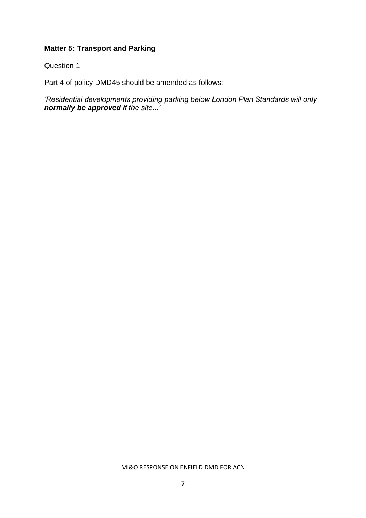# **Matter 5: Transport and Parking**

# Question 1

Part 4 of policy DMD45 should be amended as follows:

*'Residential developments providing parking below London Plan Standards will only normally be approved if the site...'*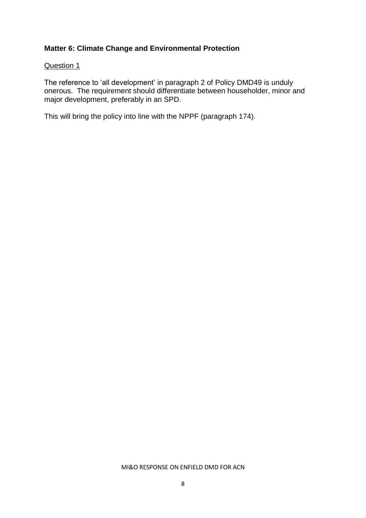# **Matter 6: Climate Change and Environmental Protection**

#### Question 1

The reference to 'all development' in paragraph 2 of Policy DMD49 is unduly onerous. The requirement should differentiate between householder, minor and major development, preferably in an SPD.

This will bring the policy into line with the NPPF (paragraph 174).